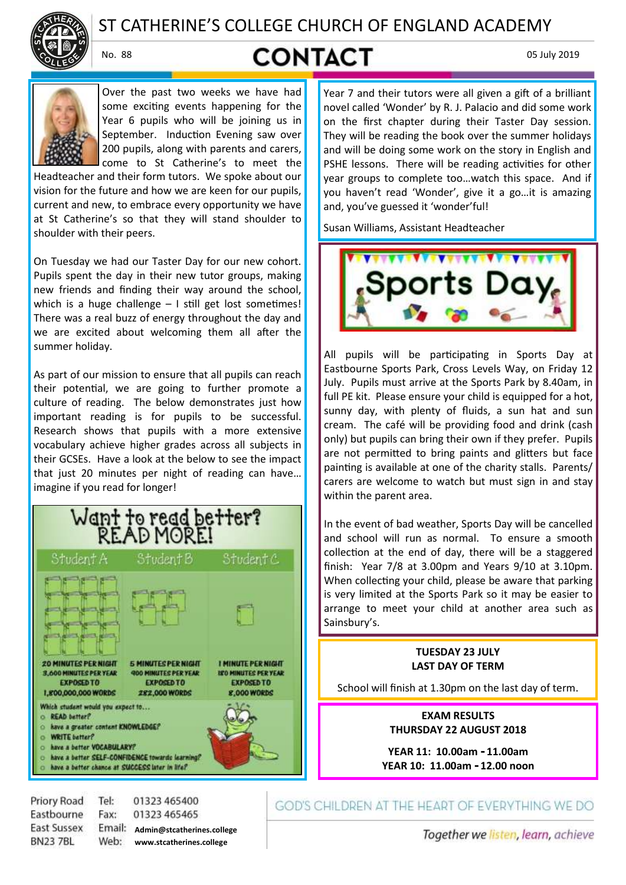

# ST CATHERINE'S COLLEGE CHURCH OF ENGLAND ACADEMY

# No. 88 **CONTACT** 05 July 2019



Over the past two weeks we have had some exciting events happening for the Year 6 pupils who will be joining us in September. Induction Evening saw over 200 pupils, along with parents and carers, come to St Catherine's to meet the

Headteacher and their form tutors. We spoke about our vision for the future and how we are keen for our pupils, current and new, to embrace every opportunity we have at St Catherine's so that they will stand shoulder to shoulder with their peers.

On Tuesday we had our Taster Day for our new cohort. Pupils spent the day in their new tutor groups, making new friends and finding their way around the school, which is a huge challenge – I still get lost sometimes! There was a real buzz of energy throughout the day and we are excited about welcoming them all after the summer holiday.

As part of our mission to ensure that all pupils can reach their potential, we are going to further promote a culture of reading. The below demonstrates just how important reading is for pupils to be successful. Research shows that pupils with a more extensive vocabulary achieve higher grades across all subjects in their GCSEs. Have a look at the below to see the impact that just 20 minutes per night of reading can have… imagine if you read for longer!



Priory Road Tel: 01323 465400 Eastbourne Fax: 01323 465465 East Sussex **Admin@stcatherines.college BN237BL www.stcatherines.college**

Year 7 and their tutors were all given a gift of a brilliant novel called 'Wonder' by R. J. Palacio and did some work on the first chapter during their Taster Day session. They will be reading the book over the summer holidays and will be doing some work on the story in English and PSHE lessons. There will be reading activities for other year groups to complete too…watch this space. And if you haven't read 'Wonder', give it a go…it is amazing and, you've guessed it 'wonder'ful!

Susan Williams, Assistant Headteacher



All pupils will be participating in Sports Day at Eastbourne Sports Park, Cross Levels Way, on Friday 12 July. Pupils must arrive at the Sports Park by 8.40am, in full PE kit. Please ensure your child is equipped for a hot, sunny day, with plenty of fluids, a sun hat and sun cream. The café will be providing food and drink (cash only) but pupils can bring their own if they prefer. Pupils are not permitted to bring paints and glitters but face painting is available at one of the charity stalls. Parents/ carers are welcome to watch but must sign in and stay within the parent area.

In the event of bad weather, Sports Day will be cancelled and school will run as normal. To ensure a smooth collection at the end of day, there will be a staggered finish: Year 7/8 at 3.00pm and Years 9/10 at 3.10pm. When collecting your child, please be aware that parking is very limited at the Sports Park so it may be easier to arrange to meet your child at another area such as Sainsbury's.

# **TUESDAY 23 JULY LAST DAY OF TERM**

School will finish at 1.30pm on the last day of term.

**EXAM RESULTS THURSDAY 22 AUGUST 2018**

**YEAR 11: 10.00am - 11.00am YEAR 10: 11.00am - 12.00 noon**

GOD'S CHILDREN AT THE HEART OF EVERYTHING WE DO

Together we listen, learn, achieve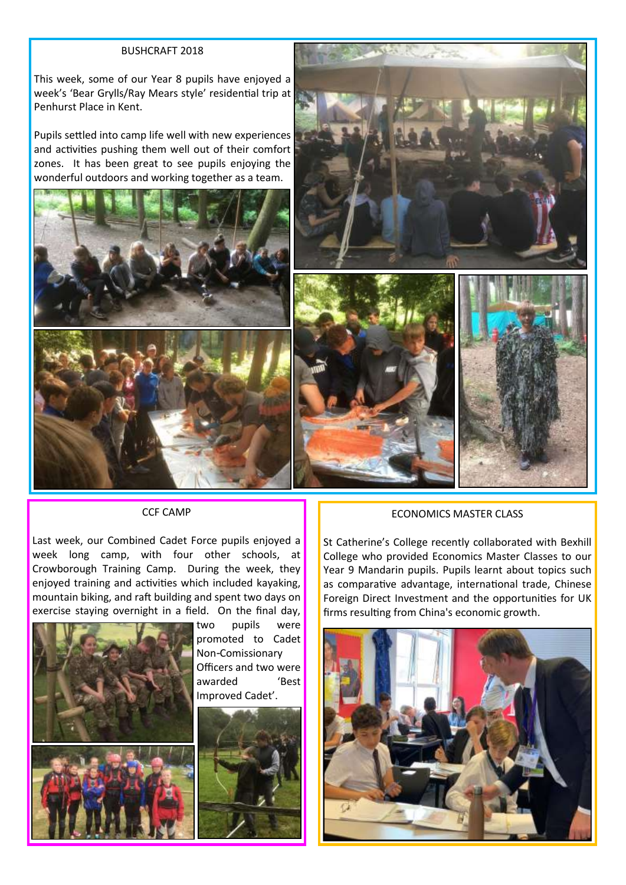### BUSHCRAFT 2018

This week, some of our Year 8 pupils have enjoyed a week's 'Bear Grylls/Ray Mears style' residential trip at Penhurst Place in Kent.

Pupils settled into camp life well with new experiences and activities pushing them well out of their comfort zones. It has been great to see pupils enjoying the wonderful outdoors and working together as a team.





CCF CAMP

Last week, our Combined Cadet Force pupils enjoyed a week long camp, with four other schools, at Crowborough Training Camp. During the week, they enjoyed training and activities which included kayaking, mountain biking, and raft building and spent two days on exercise staying overnight in a field. On the final day,



two pupils were promoted to Cadet Non-Comissionary Officers and two were awarded 'Best Improved Cadet'.



### ECONOMICS MASTER CLASS

St Catherine's College recently collaborated with Bexhill College who provided Economics Master Classes to our Year 9 Mandarin pupils. Pupils learnt about topics such as comparative advantage, international trade, Chinese Foreign Direct Investment and the opportunities for UK firms resulting from China's economic growth.